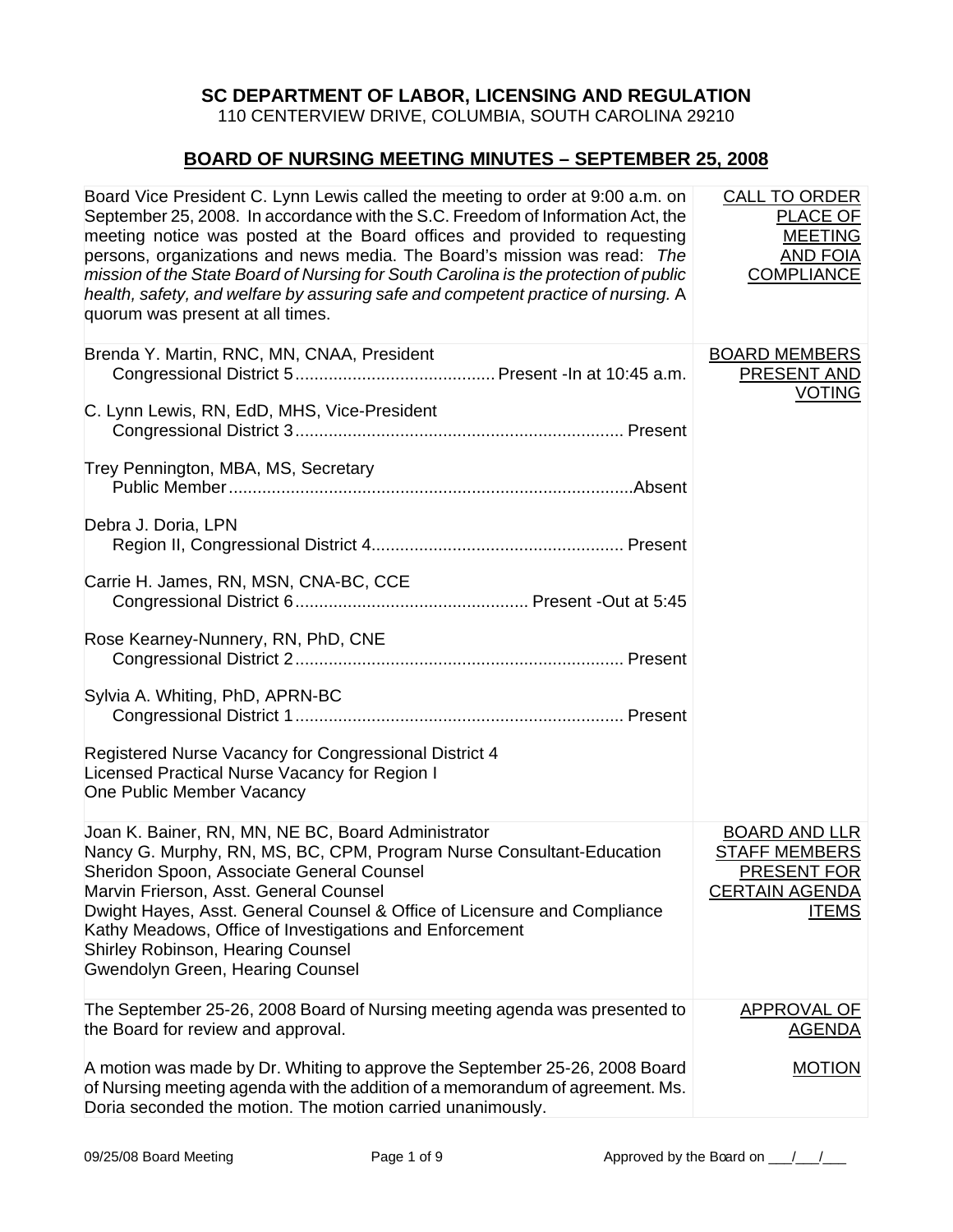## **SC DEPARTMENT OF LABOR, LICENSING AND REGULATION**

110 CENTERVIEW DRIVE, COLUMBIA, SOUTH CAROLINA 29210

## **BOARD OF NURSING MEETING MINUTES – SEPTEMBER 25, 2008**

| Board Vice President C. Lynn Lewis called the meeting to order at 9:00 a.m. on<br>September 25, 2008. In accordance with the S.C. Freedom of Information Act, the<br>meeting notice was posted at the Board offices and provided to requesting<br>persons, organizations and news media. The Board's mission was read: The<br>mission of the State Board of Nursing for South Carolina is the protection of public<br>health, safety, and welfare by assuring safe and competent practice of nursing. A<br>quorum was present at all times. | <b>CALL TO ORDER</b><br><b>PLACE OF</b><br><b>MEETING</b><br><b>AND FOIA</b><br><b>COMPLIANCE</b>    |
|---------------------------------------------------------------------------------------------------------------------------------------------------------------------------------------------------------------------------------------------------------------------------------------------------------------------------------------------------------------------------------------------------------------------------------------------------------------------------------------------------------------------------------------------|------------------------------------------------------------------------------------------------------|
| Brenda Y. Martin, RNC, MN, CNAA, President                                                                                                                                                                                                                                                                                                                                                                                                                                                                                                  | <b>BOARD MEMBERS</b><br>PRESENT AND<br><b>VOTING</b>                                                 |
| C. Lynn Lewis, RN, EdD, MHS, Vice-President                                                                                                                                                                                                                                                                                                                                                                                                                                                                                                 |                                                                                                      |
| Trey Pennington, MBA, MS, Secretary                                                                                                                                                                                                                                                                                                                                                                                                                                                                                                         |                                                                                                      |
| Debra J. Doria, LPN                                                                                                                                                                                                                                                                                                                                                                                                                                                                                                                         |                                                                                                      |
| Carrie H. James, RN, MSN, CNA-BC, CCE                                                                                                                                                                                                                                                                                                                                                                                                                                                                                                       |                                                                                                      |
| Rose Kearney-Nunnery, RN, PhD, CNE                                                                                                                                                                                                                                                                                                                                                                                                                                                                                                          |                                                                                                      |
| Sylvia A. Whiting, PhD, APRN-BC                                                                                                                                                                                                                                                                                                                                                                                                                                                                                                             |                                                                                                      |
| Registered Nurse Vacancy for Congressional District 4<br>Licensed Practical Nurse Vacancy for Region I<br>One Public Member Vacancy                                                                                                                                                                                                                                                                                                                                                                                                         |                                                                                                      |
| Joan K. Bainer, RN, MN, NE BC, Board Administrator<br>Nancy G. Murphy, RN, MS, BC, CPM, Program Nurse Consultant-Education<br>Sheridon Spoon, Associate General Counsel<br>Marvin Frierson, Asst. General Counsel<br>Dwight Hayes, Asst. General Counsel & Office of Licensure and Compliance<br>Kathy Meadows, Office of Investigations and Enforcement<br>Shirley Robinson, Hearing Counsel<br>Gwendolyn Green, Hearing Counsel                                                                                                           | <b>BOARD AND LLR</b><br><b>STAFF MEMBERS</b><br>PRESENT FOR<br><b>CERTAIN AGENDA</b><br><b>ITEMS</b> |
| The September 25-26, 2008 Board of Nursing meeting agenda was presented to<br>the Board for review and approval.                                                                                                                                                                                                                                                                                                                                                                                                                            | <b>APPROVAL OF</b><br><b>AGENDA</b>                                                                  |
| A motion was made by Dr. Whiting to approve the September 25-26, 2008 Board<br>of Nursing meeting agenda with the addition of a memorandum of agreement. Ms.<br>Doria seconded the motion. The motion carried unanimously.                                                                                                                                                                                                                                                                                                                  | <b>MOTION</b>                                                                                        |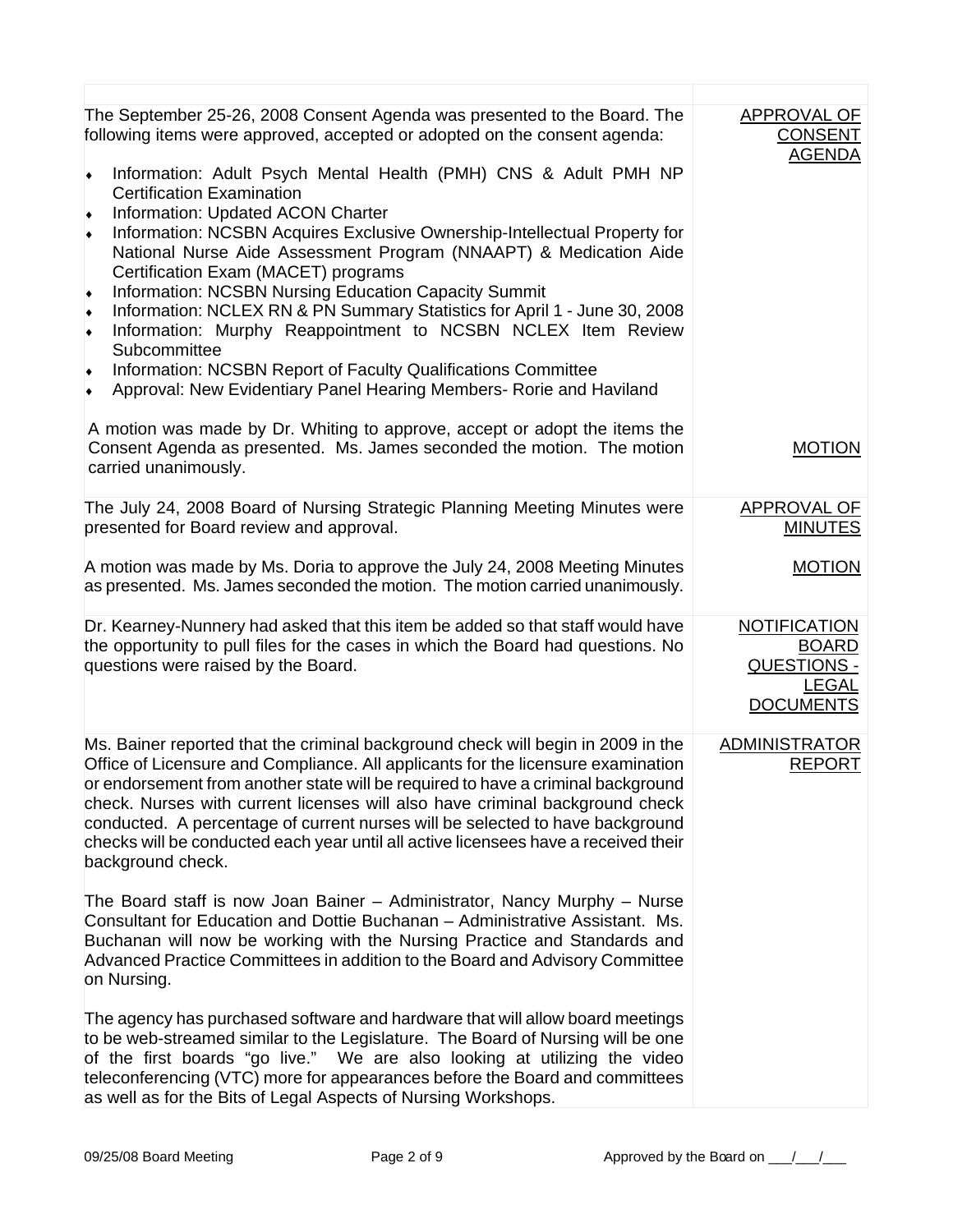| The September 25-26, 2008 Consent Agenda was presented to the Board. The<br>following items were approved, accepted or adopted on the consent agenda:<br>Information: Adult Psych Mental Health (PMH) CNS & Adult PMH NP<br>$\blacklozenge$<br><b>Certification Examination</b><br>Information: Updated ACON Charter<br>٠<br>Information: NCSBN Acquires Exclusive Ownership-Intellectual Property for<br>$\blacklozenge$<br>National Nurse Aide Assessment Program (NNAAPT) & Medication Aide<br>Certification Exam (MACET) programs<br>Information: NCSBN Nursing Education Capacity Summit<br>$\blacklozenge$<br>Information: NCLEX RN & PN Summary Statistics for April 1 - June 30, 2008<br>٠<br>Information: Murphy Reappointment to NCSBN NCLEX Item Review<br>$\blacklozenge$<br>Subcommittee<br>Information: NCSBN Report of Faculty Qualifications Committee<br>٠<br>Approval: New Evidentiary Panel Hearing Members- Rorie and Haviland<br>۰ | APPROVAL OF<br><b>CONSENT</b><br><b>AGENDA</b>                                         |
|---------------------------------------------------------------------------------------------------------------------------------------------------------------------------------------------------------------------------------------------------------------------------------------------------------------------------------------------------------------------------------------------------------------------------------------------------------------------------------------------------------------------------------------------------------------------------------------------------------------------------------------------------------------------------------------------------------------------------------------------------------------------------------------------------------------------------------------------------------------------------------------------------------------------------------------------------------|----------------------------------------------------------------------------------------|
| A motion was made by Dr. Whiting to approve, accept or adopt the items the<br>Consent Agenda as presented. Ms. James seconded the motion. The motion<br>carried unanimously.                                                                                                                                                                                                                                                                                                                                                                                                                                                                                                                                                                                                                                                                                                                                                                            | <b>MOTION</b>                                                                          |
| The July 24, 2008 Board of Nursing Strategic Planning Meeting Minutes were<br>presented for Board review and approval.                                                                                                                                                                                                                                                                                                                                                                                                                                                                                                                                                                                                                                                                                                                                                                                                                                  | <b>APPROVAL OF</b><br><b>MINUTES</b>                                                   |
| A motion was made by Ms. Doria to approve the July 24, 2008 Meeting Minutes<br>as presented. Ms. James seconded the motion. The motion carried unanimously.                                                                                                                                                                                                                                                                                                                                                                                                                                                                                                                                                                                                                                                                                                                                                                                             | <b>MOTION</b>                                                                          |
| Dr. Kearney-Nunnery had asked that this item be added so that staff would have<br>the opportunity to pull files for the cases in which the Board had questions. No<br>questions were raised by the Board.                                                                                                                                                                                                                                                                                                                                                                                                                                                                                                                                                                                                                                                                                                                                               | <b>NOTIFICATION</b><br><b>BOARD</b><br>QUESTIONS -<br><b>LEGAL</b><br><b>DOCUMENTS</b> |
| Ms. Bainer reported that the criminal background check will begin in 2009 in the<br>Office of Licensure and Compliance. All applicants for the licensure examination<br>or endorsement from another state will be required to have a criminal background<br>check. Nurses with current licenses will also have criminal background check<br>conducted. A percentage of current nurses will be selected to have background<br>checks will be conducted each year until all active licensees have a received their<br>background check.                                                                                                                                                                                                                                                                                                                                                                                                                   | <b>ADMINISTRATOR</b><br><b>REPORT</b>                                                  |
| The Board staff is now Joan Bainer - Administrator, Nancy Murphy - Nurse<br>Consultant for Education and Dottie Buchanan - Administrative Assistant. Ms.<br>Buchanan will now be working with the Nursing Practice and Standards and<br>Advanced Practice Committees in addition to the Board and Advisory Committee<br>on Nursing.                                                                                                                                                                                                                                                                                                                                                                                                                                                                                                                                                                                                                     |                                                                                        |
| The agency has purchased software and hardware that will allow board meetings<br>to be web-streamed similar to the Legislature. The Board of Nursing will be one<br>of the first boards "go live." We are also looking at utilizing the video<br>teleconferencing (VTC) more for appearances before the Board and committees<br>as well as for the Bits of Legal Aspects of Nursing Workshops.                                                                                                                                                                                                                                                                                                                                                                                                                                                                                                                                                          |                                                                                        |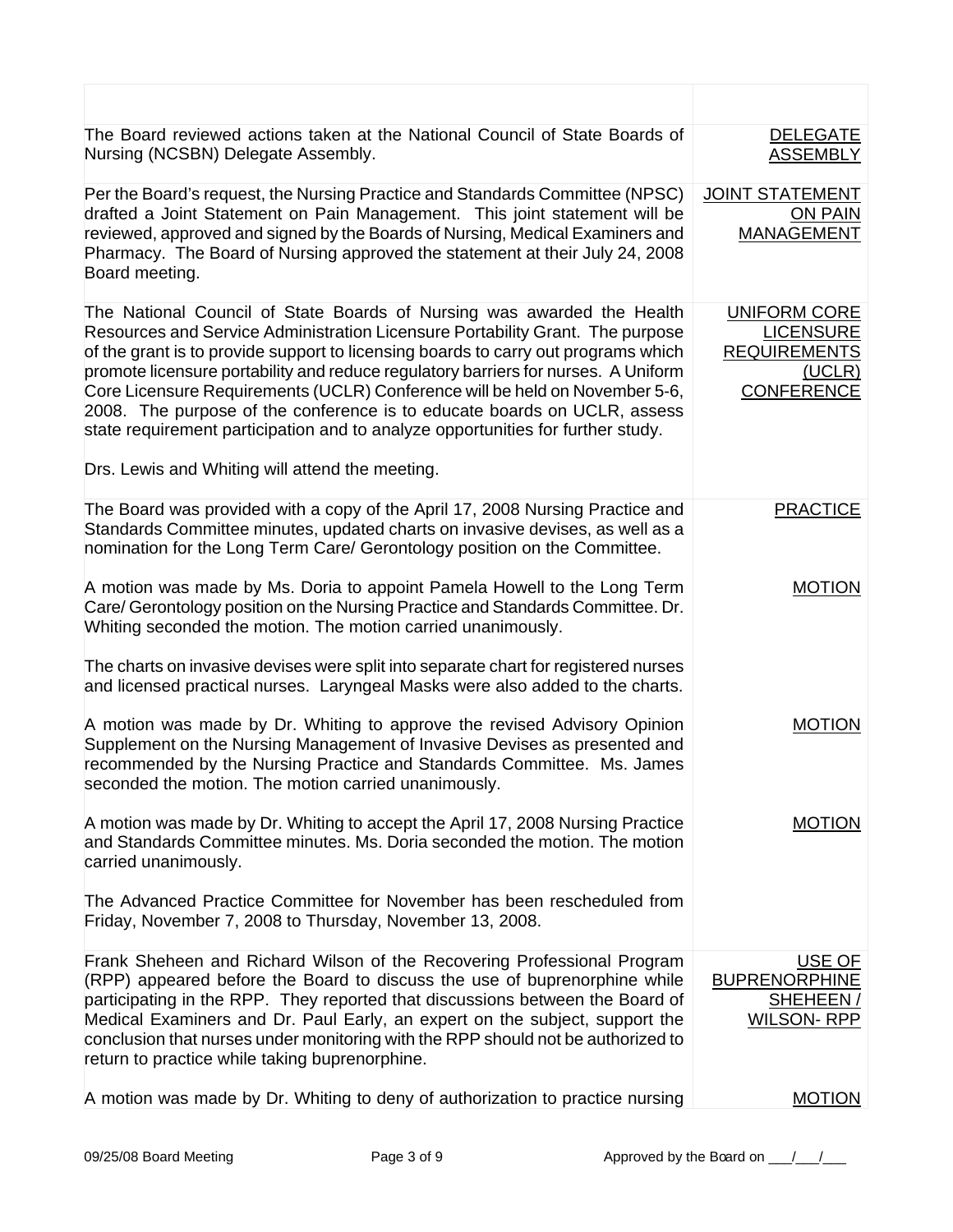| The Board reviewed actions taken at the National Council of State Boards of<br>Nursing (NCSBN) Delegate Assembly.                                                                                                                                                                                                                                                                                                                                                                                                                                                                                                                    | <b>DELEGATE</b><br><b>ASSEMBLY</b>                                                            |
|--------------------------------------------------------------------------------------------------------------------------------------------------------------------------------------------------------------------------------------------------------------------------------------------------------------------------------------------------------------------------------------------------------------------------------------------------------------------------------------------------------------------------------------------------------------------------------------------------------------------------------------|-----------------------------------------------------------------------------------------------|
| Per the Board's request, the Nursing Practice and Standards Committee (NPSC)<br>drafted a Joint Statement on Pain Management. This joint statement will be<br>reviewed, approved and signed by the Boards of Nursing, Medical Examiners and<br>Pharmacy. The Board of Nursing approved the statement at their July 24, 2008<br>Board meeting.                                                                                                                                                                                                                                                                                        | <b>JOINT STATEMENT</b><br><b>ON PAIN</b><br><b>MANAGEMENT</b>                                 |
| The National Council of State Boards of Nursing was awarded the Health<br>Resources and Service Administration Licensure Portability Grant. The purpose<br>of the grant is to provide support to licensing boards to carry out programs which<br>promote licensure portability and reduce regulatory barriers for nurses. A Uniform<br>Core Licensure Requirements (UCLR) Conference will be held on November 5-6,<br>2008. The purpose of the conference is to educate boards on UCLR, assess<br>state requirement participation and to analyze opportunities for further study.<br>Drs. Lewis and Whiting will attend the meeting. | <b>UNIFORM CORE</b><br><b>LICENSURE</b><br><b>REQUIREMENTS</b><br>(UCLR)<br><b>CONFERENCE</b> |
| The Board was provided with a copy of the April 17, 2008 Nursing Practice and<br>Standards Committee minutes, updated charts on invasive devises, as well as a<br>nomination for the Long Term Care/ Gerontology position on the Committee.                                                                                                                                                                                                                                                                                                                                                                                          | <b>PRACTICE</b>                                                                               |
| A motion was made by Ms. Doria to appoint Pamela Howell to the Long Term<br>Care/ Gerontology position on the Nursing Practice and Standards Committee. Dr.<br>Whiting seconded the motion. The motion carried unanimously.                                                                                                                                                                                                                                                                                                                                                                                                          | <b>MOTION</b>                                                                                 |
| The charts on invasive devises were split into separate chart for registered nurses<br>and licensed practical nurses. Laryngeal Masks were also added to the charts.                                                                                                                                                                                                                                                                                                                                                                                                                                                                 |                                                                                               |
| A motion was made by Dr. Whiting to approve the revised Advisory Opinion<br>Supplement on the Nursing Management of Invasive Devises as presented and<br>recommended by the Nursing Practice and Standards Committee. Ms. James<br>seconded the motion. The motion carried unanimously.                                                                                                                                                                                                                                                                                                                                              | <b>MOTION</b>                                                                                 |
| A motion was made by Dr. Whiting to accept the April 17, 2008 Nursing Practice<br>and Standards Committee minutes. Ms. Doria seconded the motion. The motion<br>carried unanimously.                                                                                                                                                                                                                                                                                                                                                                                                                                                 | MOTION                                                                                        |
| The Advanced Practice Committee for November has been rescheduled from<br>Friday, November 7, 2008 to Thursday, November 13, 2008.                                                                                                                                                                                                                                                                                                                                                                                                                                                                                                   |                                                                                               |
| Frank Sheheen and Richard Wilson of the Recovering Professional Program<br>(RPP) appeared before the Board to discuss the use of buprenorphine while<br>participating in the RPP. They reported that discussions between the Board of<br>Medical Examiners and Dr. Paul Early, an expert on the subject, support the<br>conclusion that nurses under monitoring with the RPP should not be authorized to<br>return to practice while taking buprenorphine.                                                                                                                                                                           | USE OF<br><b>BUPRENORPHINE</b><br>SHEHEEN/<br><b>WILSON-RPP</b>                               |
| A motion was made by Dr. Whiting to deny of authorization to practice nursing                                                                                                                                                                                                                                                                                                                                                                                                                                                                                                                                                        | <b>MOTION</b>                                                                                 |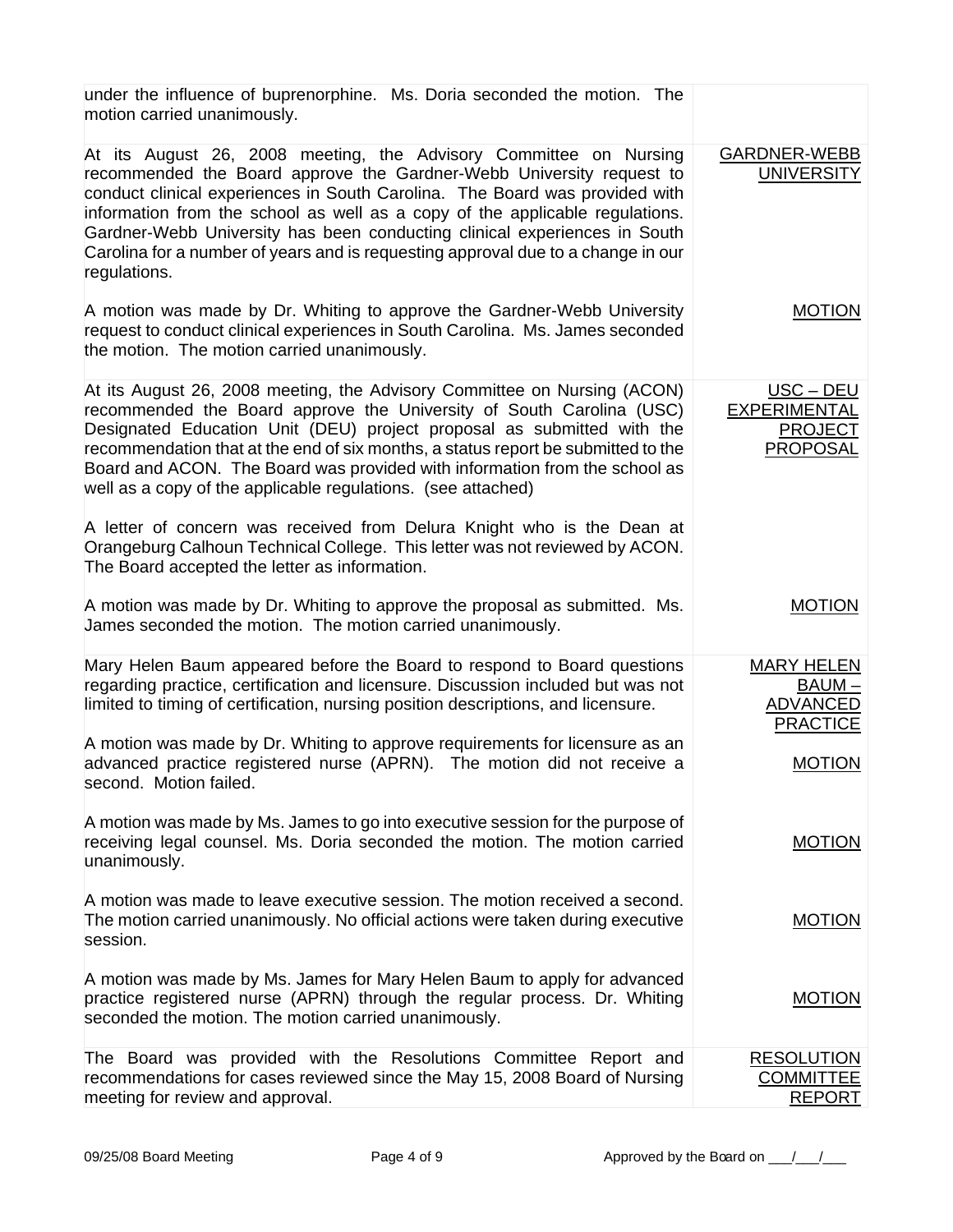| under the influence of buprenorphine. Ms. Doria seconded the motion. The<br>motion carried unanimously.                                                                                                                                                                                                                                                                                                                                                                                   |                                                                     |
|-------------------------------------------------------------------------------------------------------------------------------------------------------------------------------------------------------------------------------------------------------------------------------------------------------------------------------------------------------------------------------------------------------------------------------------------------------------------------------------------|---------------------------------------------------------------------|
| At its August 26, 2008 meeting, the Advisory Committee on Nursing<br>recommended the Board approve the Gardner-Webb University request to<br>conduct clinical experiences in South Carolina. The Board was provided with<br>information from the school as well as a copy of the applicable regulations.<br>Gardner-Webb University has been conducting clinical experiences in South<br>Carolina for a number of years and is requesting approval due to a change in our<br>regulations. | <b>GARDNER-WEBB</b><br><b>UNIVERSITY</b>                            |
| A motion was made by Dr. Whiting to approve the Gardner-Webb University<br>request to conduct clinical experiences in South Carolina. Ms. James seconded<br>the motion. The motion carried unanimously.                                                                                                                                                                                                                                                                                   | <b>MOTION</b>                                                       |
| At its August 26, 2008 meeting, the Advisory Committee on Nursing (ACON)<br>recommended the Board approve the University of South Carolina (USC)<br>Designated Education Unit (DEU) project proposal as submitted with the<br>recommendation that at the end of six months, a status report be submitted to the<br>Board and ACON. The Board was provided with information from the school as<br>well as a copy of the applicable regulations. (see attached)                             | USC-DEU<br><b>EXPERIMENTAL</b><br><b>PROJECT</b><br><b>PROPOSAL</b> |
| A letter of concern was received from Delura Knight who is the Dean at<br>Orangeburg Calhoun Technical College. This letter was not reviewed by ACON.<br>The Board accepted the letter as information.                                                                                                                                                                                                                                                                                    |                                                                     |
| A motion was made by Dr. Whiting to approve the proposal as submitted. Ms.<br>James seconded the motion. The motion carried unanimously.                                                                                                                                                                                                                                                                                                                                                  | <b>MOTION</b>                                                       |
| Mary Helen Baum appeared before the Board to respond to Board questions<br>regarding practice, certification and licensure. Discussion included but was not<br>limited to timing of certification, nursing position descriptions, and licensure.                                                                                                                                                                                                                                          | <b>MARY HELEN</b><br>$BAUM -$<br><b>ADVANCED</b><br><b>PRACTICE</b> |
| A motion was made by Dr. Whiting to approve requirements for licensure as an<br>advanced practice registered nurse (APRN). The motion did not receive a<br>second. Motion failed.                                                                                                                                                                                                                                                                                                         | <b>MOTION</b>                                                       |
| A motion was made by Ms. James to go into executive session for the purpose of<br>receiving legal counsel. Ms. Doria seconded the motion. The motion carried<br>unanimously.                                                                                                                                                                                                                                                                                                              | <b>MOTION</b>                                                       |
| A motion was made to leave executive session. The motion received a second.<br>The motion carried unanimously. No official actions were taken during executive<br>session.                                                                                                                                                                                                                                                                                                                | <b>MOTION</b>                                                       |
| A motion was made by Ms. James for Mary Helen Baum to apply for advanced<br>practice registered nurse (APRN) through the regular process. Dr. Whiting<br>seconded the motion. The motion carried unanimously.                                                                                                                                                                                                                                                                             | <b>MOTION</b>                                                       |
| The Board was provided with the Resolutions Committee Report and<br>recommendations for cases reviewed since the May 15, 2008 Board of Nursing<br>meeting for review and approval.                                                                                                                                                                                                                                                                                                        | <b>RESOLUTION</b><br><b>COMMITTEE</b><br><b>REPORT</b>              |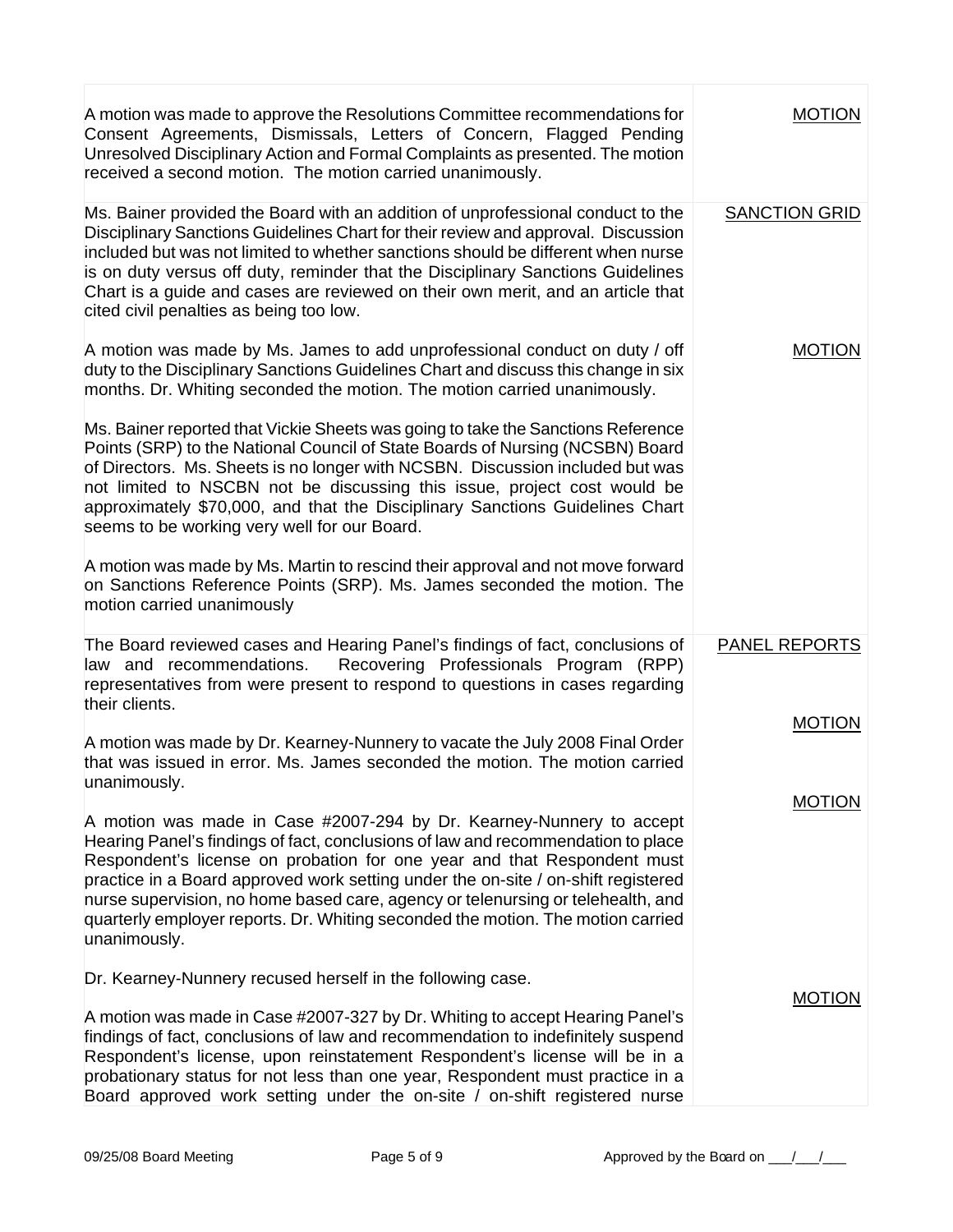| A motion was made to approve the Resolutions Committee recommendations for<br>Consent Agreements, Dismissals, Letters of Concern, Flagged Pending<br>Unresolved Disciplinary Action and Formal Complaints as presented. The motion<br>received a second motion. The motion carried unanimously.                                                                                                                                                                                                                | <b>MOTION</b>        |
|----------------------------------------------------------------------------------------------------------------------------------------------------------------------------------------------------------------------------------------------------------------------------------------------------------------------------------------------------------------------------------------------------------------------------------------------------------------------------------------------------------------|----------------------|
| Ms. Bainer provided the Board with an addition of unprofessional conduct to the<br>Disciplinary Sanctions Guidelines Chart for their review and approval. Discussion<br>included but was not limited to whether sanctions should be different when nurse<br>is on duty versus off duty, reminder that the Disciplinary Sanctions Guidelines<br>Chart is a guide and cases are reviewed on their own merit, and an article that<br>cited civil penalties as being too low.                                      | <b>SANCTION GRID</b> |
| A motion was made by Ms. James to add unprofessional conduct on duty / off<br>duty to the Disciplinary Sanctions Guidelines Chart and discuss this change in six<br>months. Dr. Whiting seconded the motion. The motion carried unanimously.                                                                                                                                                                                                                                                                   | <b>MOTION</b>        |
| Ms. Bainer reported that Vickie Sheets was going to take the Sanctions Reference<br>Points (SRP) to the National Council of State Boards of Nursing (NCSBN) Board<br>of Directors. Ms. Sheets is no longer with NCSBN. Discussion included but was<br>not limited to NSCBN not be discussing this issue, project cost would be<br>approximately \$70,000, and that the Disciplinary Sanctions Guidelines Chart<br>seems to be working very well for our Board.                                                 |                      |
| A motion was made by Ms. Martin to rescind their approval and not move forward<br>on Sanctions Reference Points (SRP). Ms. James seconded the motion. The<br>motion carried unanimously                                                                                                                                                                                                                                                                                                                        |                      |
| The Board reviewed cases and Hearing Panel's findings of fact, conclusions of<br>Recovering Professionals Program (RPP)<br>law and recommendations.<br>representatives from were present to respond to questions in cases regarding<br>their clients.                                                                                                                                                                                                                                                          | <b>PANEL REPORTS</b> |
| A motion was made by Dr. Kearney-Nunnery to vacate the July 2008 Final Order<br>that was issued in error. Ms. James seconded the motion. The motion carried<br>unanimously.                                                                                                                                                                                                                                                                                                                                    | <b>MOTION</b>        |
| A motion was made in Case #2007-294 by Dr. Kearney-Nunnery to accept<br>Hearing Panel's findings of fact, conclusions of law and recommendation to place<br>Respondent's license on probation for one year and that Respondent must<br>practice in a Board approved work setting under the on-site / on-shift registered<br>hurse supervision, no home based care, agency or telenursing or telehealth, and<br>quarterly employer reports. Dr. Whiting seconded the motion. The motion carried<br>unanimously. | <b>MOTION</b>        |
| Dr. Kearney-Nunnery recused herself in the following case.                                                                                                                                                                                                                                                                                                                                                                                                                                                     |                      |
| A motion was made in Case #2007-327 by Dr. Whiting to accept Hearing Panel's<br>findings of fact, conclusions of law and recommendation to indefinitely suspend<br>Respondent's license, upon reinstatement Respondent's license will be in a<br>probationary status for not less than one year, Respondent must practice in a<br>Board approved work setting under the on-site / on-shift registered nurse                                                                                                    | <b>MOTION</b>        |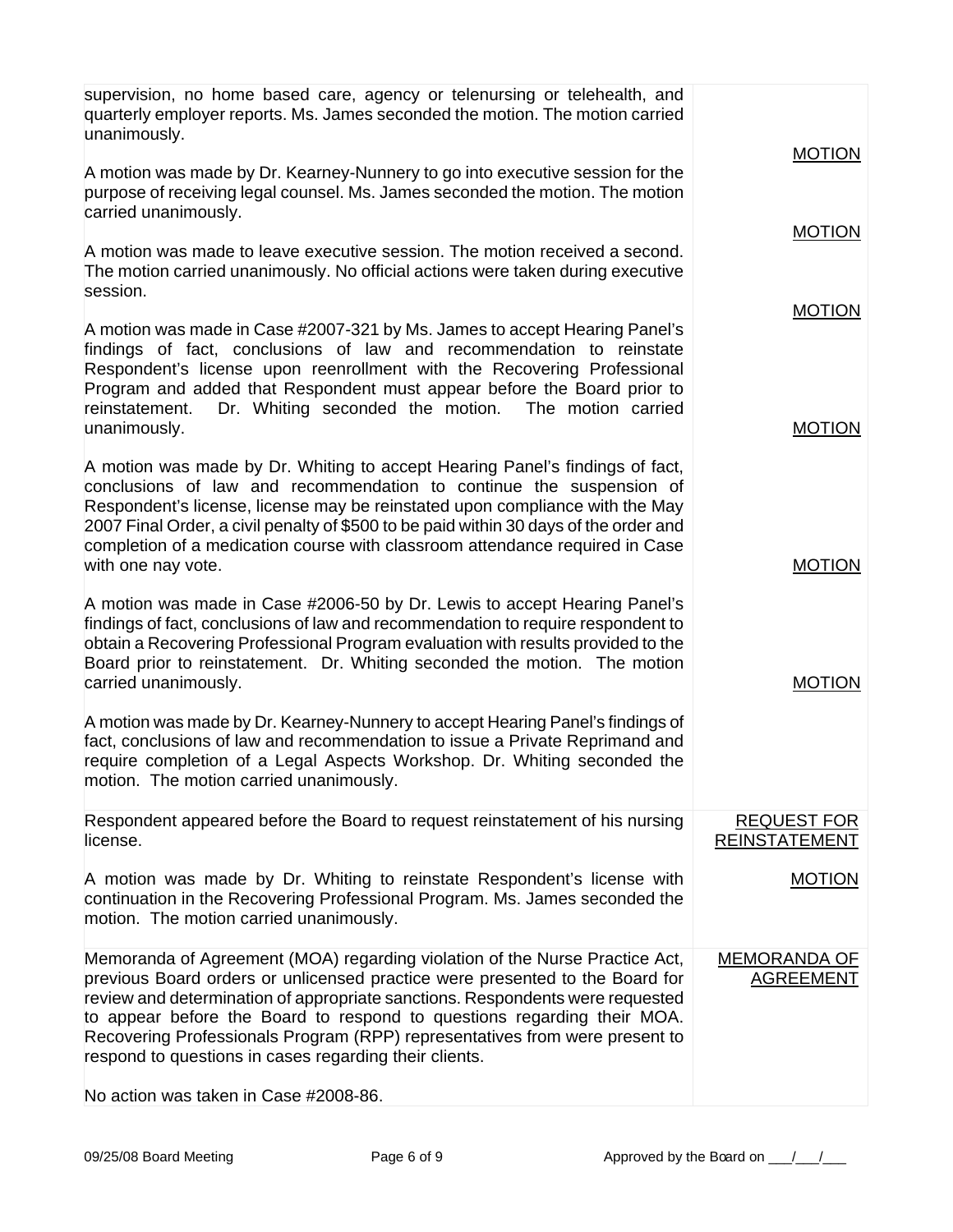| supervision, no home based care, agency or telenursing or telehealth, and<br>quarterly employer reports. Ms. James seconded the motion. The motion carried<br>unanimously.                                                                                                                                                                                                                                                                                       |                                            |
|------------------------------------------------------------------------------------------------------------------------------------------------------------------------------------------------------------------------------------------------------------------------------------------------------------------------------------------------------------------------------------------------------------------------------------------------------------------|--------------------------------------------|
| A motion was made by Dr. Kearney-Nunnery to go into executive session for the<br>purpose of receiving legal counsel. Ms. James seconded the motion. The motion<br>carried unanimously.                                                                                                                                                                                                                                                                           | <b>MOTION</b>                              |
| A motion was made to leave executive session. The motion received a second.<br>The motion carried unanimously. No official actions were taken during executive<br>session.                                                                                                                                                                                                                                                                                       | <b>MOTION</b>                              |
|                                                                                                                                                                                                                                                                                                                                                                                                                                                                  | <b>MOTION</b>                              |
| A motion was made in Case #2007-321 by Ms. James to accept Hearing Panel's<br>findings of fact, conclusions of law and recommendation to reinstate<br>Respondent's license upon reenrollment with the Recovering Professional<br>Program and added that Respondent must appear before the Board prior to<br>Dr. Whiting seconded the motion. The motion carried<br>reinstatement.<br>unanimously.                                                                | <b>MOTION</b>                              |
| A motion was made by Dr. Whiting to accept Hearing Panel's findings of fact,<br>conclusions of law and recommendation to continue the suspension of<br>Respondent's license, license may be reinstated upon compliance with the May<br>2007 Final Order, a civil penalty of \$500 to be paid within 30 days of the order and<br>completion of a medication course with classroom attendance required in Case                                                     |                                            |
| with one nay vote.                                                                                                                                                                                                                                                                                                                                                                                                                                               | <b>MOTION</b>                              |
| A motion was made in Case #2006-50 by Dr. Lewis to accept Hearing Panel's<br>findings of fact, conclusions of law and recommendation to require respondent to<br>obtain a Recovering Professional Program evaluation with results provided to the<br>Board prior to reinstatement. Dr. Whiting seconded the motion. The motion<br>carried unanimously.                                                                                                           | <b>MOTION</b>                              |
| A motion was made by Dr. Kearney-Nunnery to accept Hearing Panel's findings of<br>fact, conclusions of law and recommendation to issue a Private Reprimand and<br>require completion of a Legal Aspects Workshop. Dr. Whiting seconded the<br>motion. The motion carried unanimously.                                                                                                                                                                            |                                            |
| Respondent appeared before the Board to request reinstatement of his nursing<br>license.                                                                                                                                                                                                                                                                                                                                                                         | <b>REQUEST FOR</b><br><b>REINSTATEMENT</b> |
| A motion was made by Dr. Whiting to reinstate Respondent's license with<br>continuation in the Recovering Professional Program. Ms. James seconded the<br>motion. The motion carried unanimously.                                                                                                                                                                                                                                                                | <b>MOTION</b>                              |
| Memoranda of Agreement (MOA) regarding violation of the Nurse Practice Act,<br>previous Board orders or unlicensed practice were presented to the Board for<br>review and determination of appropriate sanctions. Respondents were requested<br>to appear before the Board to respond to questions regarding their MOA.<br>Recovering Professionals Program (RPP) representatives from were present to<br>respond to questions in cases regarding their clients. | <b>MEMORANDA OF</b><br><b>AGREEMENT</b>    |
| No action was taken in Case #2008-86.                                                                                                                                                                                                                                                                                                                                                                                                                            |                                            |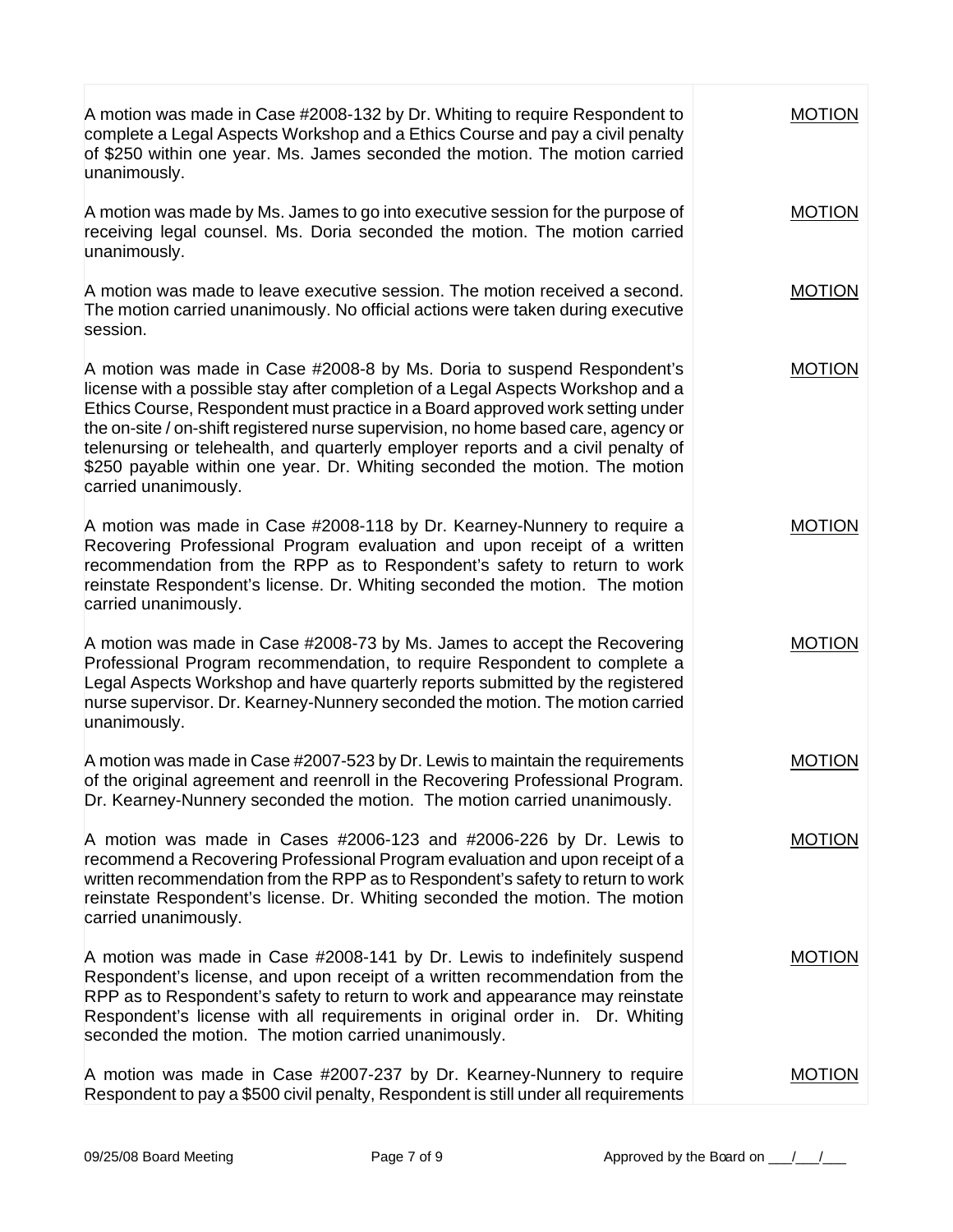| A motion was made in Case #2008-132 by Dr. Whiting to require Respondent to<br>complete a Legal Aspects Workshop and a Ethics Course and pay a civil penalty<br>of \$250 within one year. Ms. James seconded the motion. The motion carried<br>unanimously.                                                                                                                                                                                                                                                                 | <b>MOTION</b> |
|-----------------------------------------------------------------------------------------------------------------------------------------------------------------------------------------------------------------------------------------------------------------------------------------------------------------------------------------------------------------------------------------------------------------------------------------------------------------------------------------------------------------------------|---------------|
| A motion was made by Ms. James to go into executive session for the purpose of<br>receiving legal counsel. Ms. Doria seconded the motion. The motion carried<br>unanimously.                                                                                                                                                                                                                                                                                                                                                | <b>MOTION</b> |
| A motion was made to leave executive session. The motion received a second.<br>The motion carried unanimously. No official actions were taken during executive<br>session.                                                                                                                                                                                                                                                                                                                                                  | <b>MOTION</b> |
| A motion was made in Case #2008-8 by Ms. Doria to suspend Respondent's<br>license with a possible stay after completion of a Legal Aspects Workshop and a<br>Ethics Course, Respondent must practice in a Board approved work setting under<br>the on-site / on-shift registered nurse supervision, no home based care, agency or<br>telenursing or telehealth, and quarterly employer reports and a civil penalty of<br>\$250 payable within one year. Dr. Whiting seconded the motion. The motion<br>carried unanimously. | <b>MOTION</b> |
| A motion was made in Case #2008-118 by Dr. Kearney-Nunnery to require a<br>Recovering Professional Program evaluation and upon receipt of a written<br>recommendation from the RPP as to Respondent's safety to return to work<br>reinstate Respondent's license. Dr. Whiting seconded the motion. The motion<br>carried unanimously.                                                                                                                                                                                       | <b>MOTION</b> |
| A motion was made in Case #2008-73 by Ms. James to accept the Recovering<br>Professional Program recommendation, to require Respondent to complete a<br>Legal Aspects Workshop and have quarterly reports submitted by the registered<br>nurse supervisor. Dr. Kearney-Nunnery seconded the motion. The motion carried<br>unanimously.                                                                                                                                                                                      | <b>MOTION</b> |
| A motion was made in Case #2007-523 by Dr. Lewis to maintain the requirements<br>of the original agreement and reenroll in the Recovering Professional Program.<br>Dr. Kearney-Nunnery seconded the motion. The motion carried unanimously.                                                                                                                                                                                                                                                                                 | <b>MOTION</b> |
| A motion was made in Cases #2006-123 and #2006-226 by Dr. Lewis to<br>recommend a Recovering Professional Program evaluation and upon receipt of a<br>written recommendation from the RPP as to Respondent's safety to return to work<br>reinstate Respondent's license. Dr. Whiting seconded the motion. The motion<br>carried unanimously.                                                                                                                                                                                | <b>MOTION</b> |
| A motion was made in Case #2008-141 by Dr. Lewis to indefinitely suspend<br>Respondent's license, and upon receipt of a written recommendation from the<br>RPP as to Respondent's safety to return to work and appearance may reinstate<br>Respondent's license with all requirements in original order in. Dr. Whiting<br>seconded the motion. The motion carried unanimously.                                                                                                                                             | <b>MOTION</b> |
| A motion was made in Case #2007-237 by Dr. Kearney-Nunnery to require<br>Respondent to pay a \$500 civil penalty, Respondent is still under all requirements                                                                                                                                                                                                                                                                                                                                                                | <b>MOTION</b> |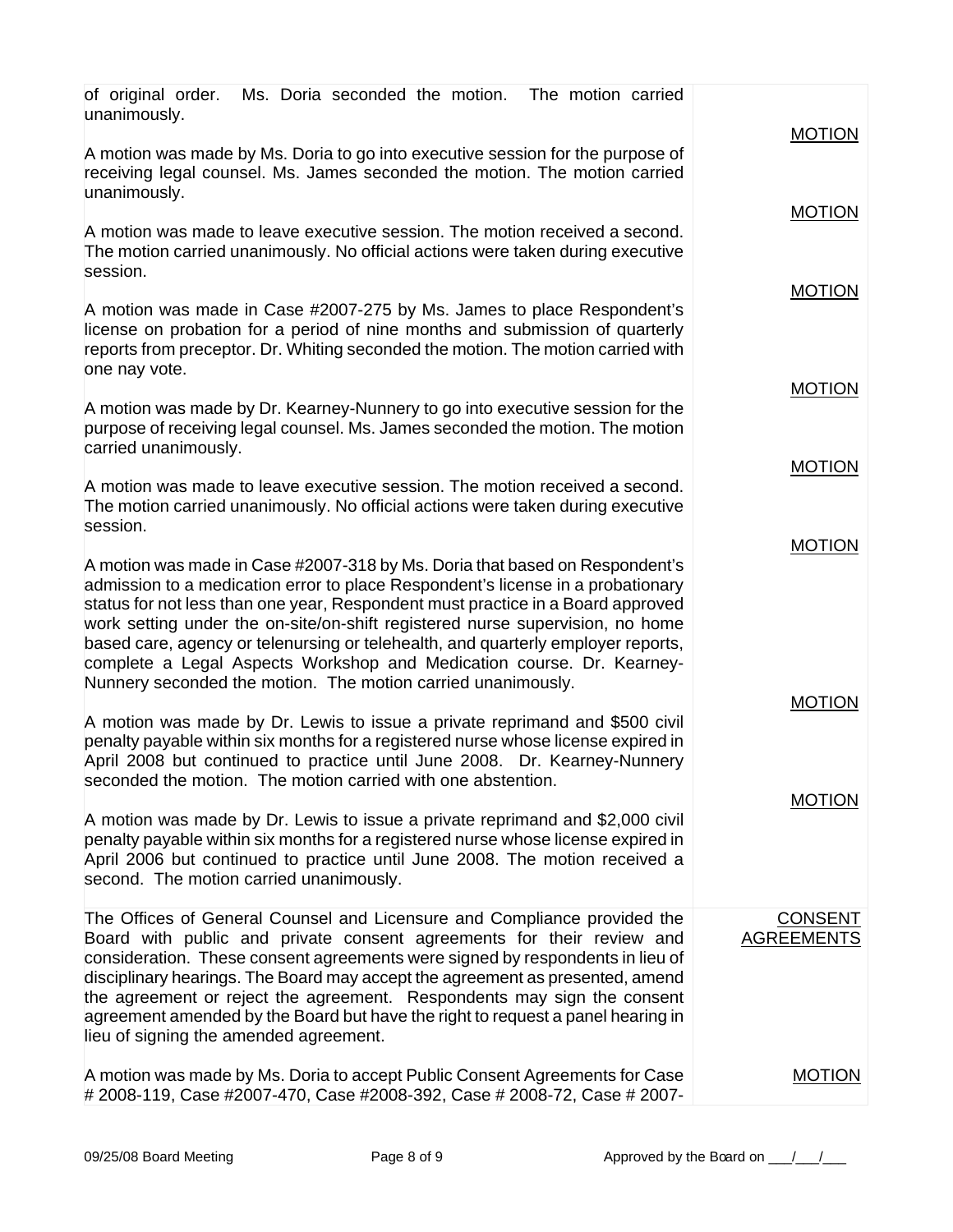| Ms. Doria seconded the motion. The motion carried<br>of original order.<br>unanimously.                                                                                                                                                                                                                                                                                                                                                                                                                                                                         | <b>MOTION</b>                       |
|-----------------------------------------------------------------------------------------------------------------------------------------------------------------------------------------------------------------------------------------------------------------------------------------------------------------------------------------------------------------------------------------------------------------------------------------------------------------------------------------------------------------------------------------------------------------|-------------------------------------|
| A motion was made by Ms. Doria to go into executive session for the purpose of<br>receiving legal counsel. Ms. James seconded the motion. The motion carried<br>unanimously.                                                                                                                                                                                                                                                                                                                                                                                    |                                     |
| A motion was made to leave executive session. The motion received a second.<br>The motion carried unanimously. No official actions were taken during executive<br>session.                                                                                                                                                                                                                                                                                                                                                                                      | <b>MOTION</b>                       |
| A motion was made in Case #2007-275 by Ms. James to place Respondent's<br>license on probation for a period of nine months and submission of quarterly<br>reports from preceptor. Dr. Whiting seconded the motion. The motion carried with<br>one nay vote.                                                                                                                                                                                                                                                                                                     | <b>MOTION</b>                       |
| A motion was made by Dr. Kearney-Nunnery to go into executive session for the<br>purpose of receiving legal counsel. Ms. James seconded the motion. The motion<br>carried unanimously.                                                                                                                                                                                                                                                                                                                                                                          | <b>MOTION</b>                       |
| A motion was made to leave executive session. The motion received a second.<br>The motion carried unanimously. No official actions were taken during executive<br>session.                                                                                                                                                                                                                                                                                                                                                                                      | <b>MOTION</b>                       |
| A motion was made in Case #2007-318 by Ms. Doria that based on Respondent's<br>admission to a medication error to place Respondent's license in a probationary<br>status for not less than one year, Respondent must practice in a Board approved<br>work setting under the on-site/on-shift registered nurse supervision, no home<br>based care, agency or telenursing or telehealth, and quarterly employer reports,<br>complete a Legal Aspects Workshop and Medication course. Dr. Kearney-<br>Nunnery seconded the motion. The motion carried unanimously. | <b>MOTION</b>                       |
| A motion was made by Dr. Lewis to issue a private reprimand and \$500 civil<br>penalty payable within six months for a registered nurse whose license expired in<br>April 2008 but continued to practice until June 2008. Dr. Kearney-Nunnery<br>seconded the motion. The motion carried with one abstention.                                                                                                                                                                                                                                                   | <b>MOTION</b>                       |
| A motion was made by Dr. Lewis to issue a private reprimand and \$2,000 civil<br>penalty payable within six months for a registered nurse whose license expired in<br>April 2006 but continued to practice until June 2008. The motion received a<br>second. The motion carried unanimously.                                                                                                                                                                                                                                                                    | <b>MOTION</b>                       |
| The Offices of General Counsel and Licensure and Compliance provided the<br>Board with public and private consent agreements for their review and<br>consideration. These consent agreements were signed by respondents in lieu of<br>disciplinary hearings. The Board may accept the agreement as presented, amend<br>the agreement or reject the agreement. Respondents may sign the consent<br>agreement amended by the Board but have the right to request a panel hearing in<br>lieu of signing the amended agreement.                                     | <b>CONSENT</b><br><b>AGREEMENTS</b> |
| A motion was made by Ms. Doria to accept Public Consent Agreements for Case<br># 2008-119, Case #2007-470, Case #2008-392, Case # 2008-72, Case # 2007-                                                                                                                                                                                                                                                                                                                                                                                                         | <b>MOTION</b>                       |